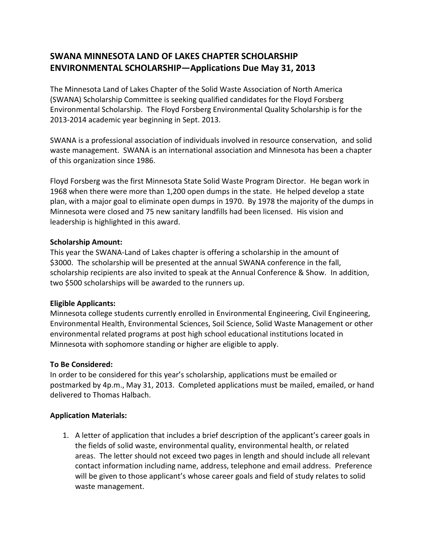# **SWANA MINNESOTA LAND OF LAKES CHAPTER SCHOLARSHIP ENVIRONMENTAL SCHOLARSHIP—Applications Due May 31, 2013**

The Minnesota Land of Lakes Chapter of the Solid Waste Association of North America (SWANA) Scholarship Committee is seeking qualified candidates for the Floyd Forsberg Environmental Scholarship. The Floyd Forsberg Environmental Quality Scholarship is for the 2013-2014 academic year beginning in Sept. 2013.

SWANA is a professional association of individuals involved in resource conservation, and solid waste management. SWANA is an international association and Minnesota has been a chapter of this organization since 1986.

Floyd Forsberg was the first Minnesota State Solid Waste Program Director. He began work in 1968 when there were more than 1,200 open dumps in the state. He helped develop a state plan, with a major goal to eliminate open dumps in 1970. By 1978 the majority of the dumps in Minnesota were closed and 75 new sanitary landfills had been licensed. His vision and leadership is highlighted in this award.

### **Scholarship Amount:**

This year the SWANA-Land of Lakes chapter is offering a scholarship in the amount of \$3000. The scholarship will be presented at the annual SWANA conference in the fall, scholarship recipients are also invited to speak at the Annual Conference & Show. In addition, two \$500 scholarships will be awarded to the runners up.

## **Eligible Applicants:**

Minnesota college students currently enrolled in Environmental Engineering, Civil Engineering, Environmental Health, Environmental Sciences, Soil Science, Solid Waste Management or other environmental related programs at post high school educational institutions located in Minnesota with sophomore standing or higher are eligible to apply.

## **To Be Considered:**

In order to be considered for this year's scholarship, applications must be emailed or postmarked by 4p.m., May 31, 2013. Completed applications must be mailed, emailed, or hand delivered to Thomas Halbach.

## **Application Materials:**

1. A letter of application that includes a brief description of the applicant's career goals in the fields of solid waste, environmental quality, environmental health, or related areas. The letter should not exceed two pages in length and should include all relevant contact information including name, address, telephone and email address. Preference will be given to those applicant's whose career goals and field of study relates to solid waste management.